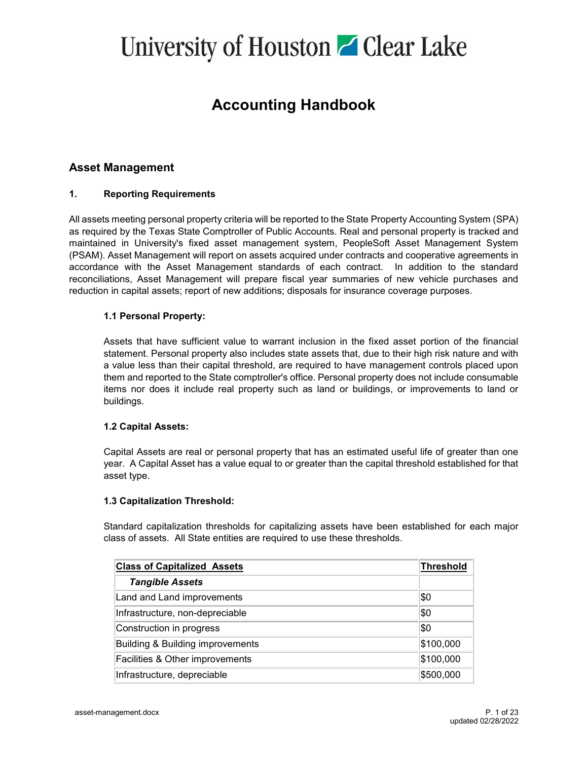# **Accounting Handbook**

## **Asset Management**

### **1. Reporting Requirements**

All assets meeting personal property criteria will be reported to the State Property Accounting System (SPA) as required by the Texas State Comptroller of Public Accounts. Real and personal property is tracked and maintained in University's fixed asset management system, PeopleSoft Asset Management System (PSAM). Asset Management will report on assets acquired under contracts and cooperative agreements in accordance with the Asset Management standards of each contract. In addition to the standard reconciliations, Asset Management will prepare fiscal year summaries of new vehicle purchases and reduction in capital assets; report of new additions; disposals for insurance coverage purposes.

### **1.1 Personal Property:**

Assets that have sufficient value to warrant inclusion in the fixed asset portion of the financial statement. Personal property also includes state assets that, due to their high risk nature and with a value less than their capital threshold, are required to have management controls placed upon them and reported to the State comptroller's office. Personal property does not include consumable items nor does it include real property such as land or buildings, or improvements to land or buildings.

### **1.2 Capital Assets:**

Capital Assets are real or personal property that has an estimated useful life of greater than one year. A Capital Asset has a value equal to or greater than the capital threshold established for that asset type.

### **1.3 Capitalization Threshold:**

Standard capitalization thresholds for capitalizing assets have been established for each major class of assets. All State entities are required to use these thresholds.

| <b>Class of Capitalized Assets</b> | <b>Threshold</b> |
|------------------------------------|------------------|
| <b>Tangible Assets</b>             |                  |
| Land and Land improvements         | \$0              |
| Infrastructure, non-depreciable    | \$0              |
| Construction in progress           | \$0              |
| Building & Building improvements   | \$100,000        |
| Facilities & Other improvements    | \$100,000        |
| Infrastructure, depreciable        | \$500,000        |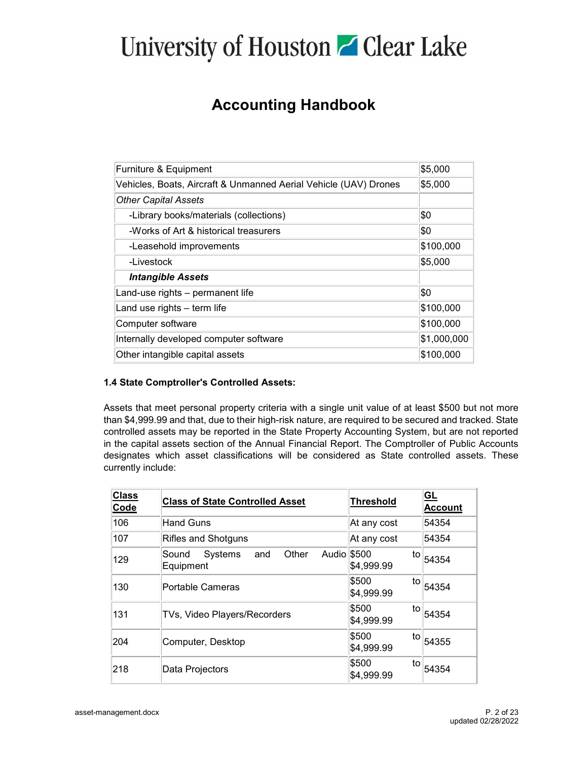# **Accounting Handbook**

| Furniture & Equipment                                            | \$5,000     |
|------------------------------------------------------------------|-------------|
| Vehicles, Boats, Aircraft & Unmanned Aerial Vehicle (UAV) Drones | \$5,000     |
| <b>Other Capital Assets</b>                                      |             |
| -Library books/materials (collections)                           | \$0         |
| -Works of Art & historical treasurers                            | \$0         |
| -Leasehold improvements                                          | \$100,000   |
| -Livestock                                                       | \$5,000     |
| <b>Intangible Assets</b>                                         |             |
| Land-use rights - permanent life                                 | \$0         |
| Land use rights - term life                                      | \$100,000   |
| Computer software                                                | \$100,000   |
| Internally developed computer software                           | \$1,000,000 |
| Other intangible capital assets                                  | \$100,000   |

## **1.4 State Comptroller's Controlled Assets:**

Assets that meet personal property criteria with a single unit value of at least \$500 but not more than \$4,999.99 and that, due to their high-risk nature, are required to be secured and tracked. State controlled assets may be reported in the State Property Accounting System, but are not reported in the capital assets section of the Annual Financial Report. The Comptroller of Public Accounts designates which asset classifications will be considered as State controlled assets. These currently include:

| <b>Class</b><br>Code | <b>Class of State Controlled Asset</b>                 | <b>Threshold</b>          | GL<br><b>Account</b> |
|----------------------|--------------------------------------------------------|---------------------------|----------------------|
| 106                  | <b>Hand Guns</b>                                       | At any cost               | 54354                |
| 107                  | <b>Rifles and Shotguns</b>                             | At any cost               | 54354                |
| 129                  | Systems<br>Other<br>Audio<br>Sound<br>and<br>Equipment | \$500<br>to<br>\$4,999.99 | 54354                |
| 130                  | <b>Portable Cameras</b>                                | \$500<br>to<br>\$4,999.99 | 54354                |
| 131                  | TVs, Video Players/Recorders                           | \$500<br>to<br>\$4,999.99 | 54354                |
| 204                  | Computer, Desktop                                      | \$500<br>to<br>\$4,999.99 | 54355                |
| 218                  | Data Projectors                                        | \$500<br>to<br>\$4,999.99 | 54354                |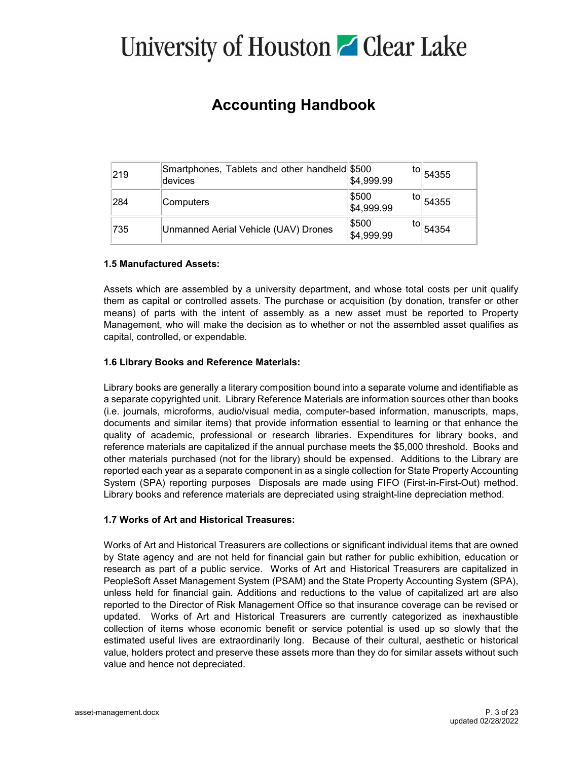# **Accounting Handbook**

| 219  | Smartphones, Tablets and other handheld \$500<br>devices | to<br>\$4,999.99          | 54355 |
|------|----------------------------------------------------------|---------------------------|-------|
| 284  | Computers                                                | \$500<br>to<br>\$4,999.99 | 54355 |
| 1735 | Unmanned Aerial Vehicle (UAV) Drones                     | \$500<br>to<br>\$4,999.99 | 54354 |

### **1.5 Manufactured Assets:**

Assets which are assembled by a university department, and whose total costs per unit qualify them as capital or controlled assets. The purchase or acquisition (by donation, transfer or other means) of parts with the intent of assembly as a new asset must be reported to Property Management, who will make the decision as to whether or not the assembled asset qualifies as capital, controlled, or expendable.

### **1.6 Library Books and Reference Materials:**

Library books are generally a literary composition bound into a separate volume and identifiable as a separate copyrighted unit. Library Reference Materials are information sources other than books (i.e. journals, microforms, audio/visual media, computer-based information, manuscripts, maps, documents and similar items) that provide information essential to learning or that enhance the quality of academic, professional or research libraries. Expenditures for library books, and reference materials are capitalized if the annual purchase meets the \$5,000 threshold. Books and other materials purchased (not for the library) should be expensed. Additions to the Library are reported each year as a separate component in as a single collection for State Property Accounting System (SPA) reporting purposes Disposals are made using FIFO (First-in-First-Out) method. Library books and reference materials are depreciated using straight-line depreciation method.

#### **1.7 Works of Art and Historical Treasures:**

Works of Art and Historical Treasurers are collections or significant individual items that are owned by State agency and are not held for financial gain but rather for public exhibition, education or research as part of a public service. Works of Art and Historical Treasurers are capitalized in PeopleSoft Asset Management System (PSAM) and the State Property Accounting System (SPA), unless held for financial gain. Additions and reductions to the value of capitalized art are also reported to the Director of Risk Management Office so that insurance coverage can be revised or updated. Works of Art and Historical Treasurers are currently categorized as inexhaustible collection of items whose economic benefit or service potential is used up so slowly that the estimated useful lives are extraordinarily long. Because of their cultural, aesthetic or historical value, holders protect and preserve these assets more than they do for similar assets without such value and hence not depreciated.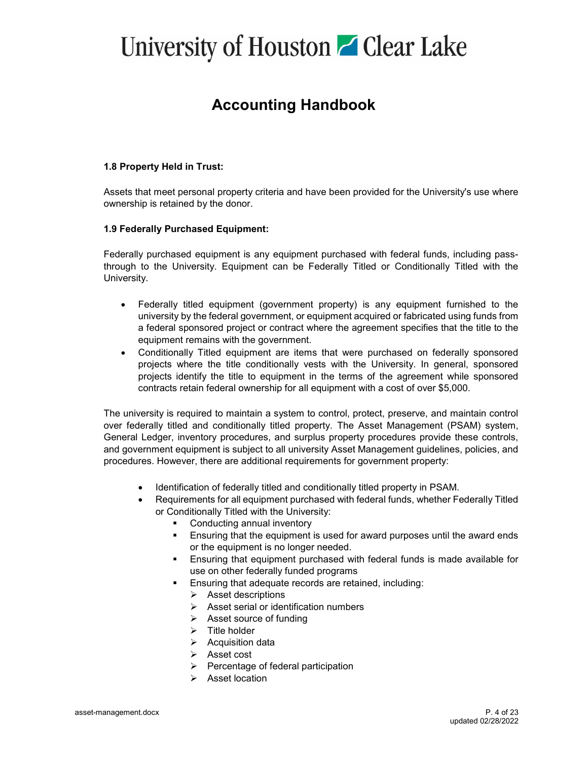## **Accounting Handbook**

### **1.8 Property Held in Trust:**

Assets that meet personal property criteria and have been provided for the University's use where ownership is retained by the donor.

### **1.9 Federally Purchased Equipment:**

Federally purchased equipment is any equipment purchased with federal funds, including passthrough to the University. Equipment can be Federally Titled or Conditionally Titled with the University.

- Federally titled equipment (government property) is any equipment furnished to the university by the federal government, or equipment acquired or fabricated using funds from a federal sponsored project or contract where the agreement specifies that the title to the equipment remains with the government.
- Conditionally Titled equipment are items that were purchased on federally sponsored projects where the title conditionally vests with the University. In general, sponsored projects identify the title to equipment in the terms of the agreement while sponsored contracts retain federal ownership for all equipment with a cost of over \$5,000.

The university is required to maintain a system to control, protect, preserve, and maintain control over federally titled and conditionally titled property. The Asset Management (PSAM) system, General Ledger, inventory procedures, and surplus property procedures provide these controls, and government equipment is subject to all university Asset Management guidelines, policies, and procedures. However, there are additional requirements for government property:

- Identification of federally titled and conditionally titled property in PSAM.
- Requirements for all equipment purchased with federal funds, whether Federally Titled or Conditionally Titled with the University:
	- **Conducting annual inventory**
	- **Ensuring that the equipment is used for award purposes until the award ends** or the equipment is no longer needed.
	- Ensuring that equipment purchased with federal funds is made available for use on other federally funded programs
	- **Ensuring that adequate records are retained, including:** 
		- $\triangleright$  Asset descriptions
		- $\triangleright$  Asset serial or identification numbers
		- $\triangleright$  Asset source of funding
		- $\triangleright$  Title holder
		- $\triangleright$  Acquisition data
		- > Asset cost
		- $\triangleright$  Percentage of federal participation
		- $\triangleright$  Asset location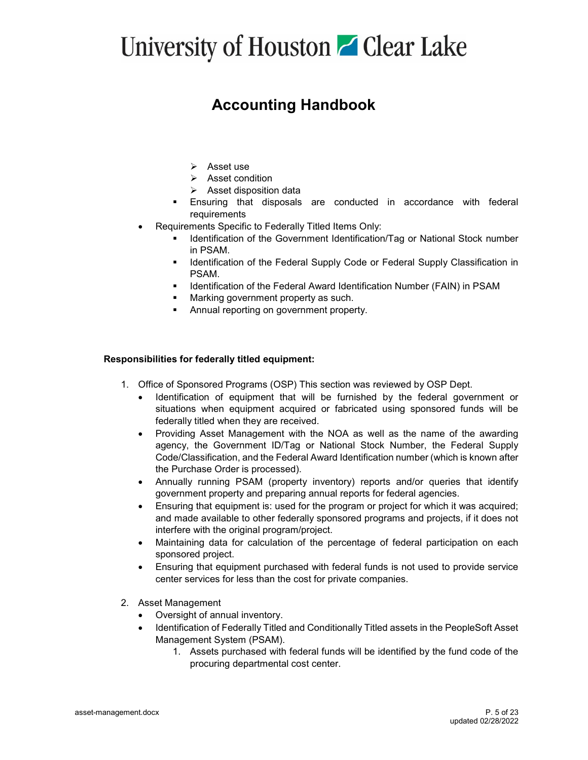# **Accounting Handbook**

- $\triangleright$  Asset use
- $\triangleright$  Asset condition
- $\triangleright$  Asset disposition data
- Ensuring that disposals are conducted in accordance with federal requirements
- Requirements Specific to Federally Titled Items Only:
	- Identification of the Government Identification/Tag or National Stock number in PSAM.
	- **Indentification of the Federal Supply Code or Federal Supply Classification in** PSAM.
	- **IDED 15 Identification of the Federal Award Identification Number (FAIN) in PSAM**
	- **Marking government property as such.**
	- **Annual reporting on government property.**

### **Responsibilities for federally titled equipment:**

- 1. Office of Sponsored Programs (OSP) This section was reviewed by OSP Dept.
	- Identification of equipment that will be furnished by the federal government or situations when equipment acquired or fabricated using sponsored funds will be federally titled when they are received.
	- Providing Asset Management with the NOA as well as the name of the awarding agency, the Government ID/Tag or National Stock Number, the Federal Supply Code/Classification, and the Federal Award Identification number (which is known after the Purchase Order is processed).
	- Annually running PSAM (property inventory) reports and/or queries that identify government property and preparing annual reports for federal agencies.
	- Ensuring that equipment is: used for the program or project for which it was acquired; and made available to other federally sponsored programs and projects, if it does not interfere with the original program/project.
	- Maintaining data for calculation of the percentage of federal participation on each sponsored project.
	- Ensuring that equipment purchased with federal funds is not used to provide service center services for less than the cost for private companies.
- 2. Asset Management
	- Oversight of annual inventory.
	- Identification of Federally Titled and Conditionally Titled assets in the PeopleSoft Asset Management System (PSAM).
		- 1. Assets purchased with federal funds will be identified by the fund code of the procuring departmental cost center.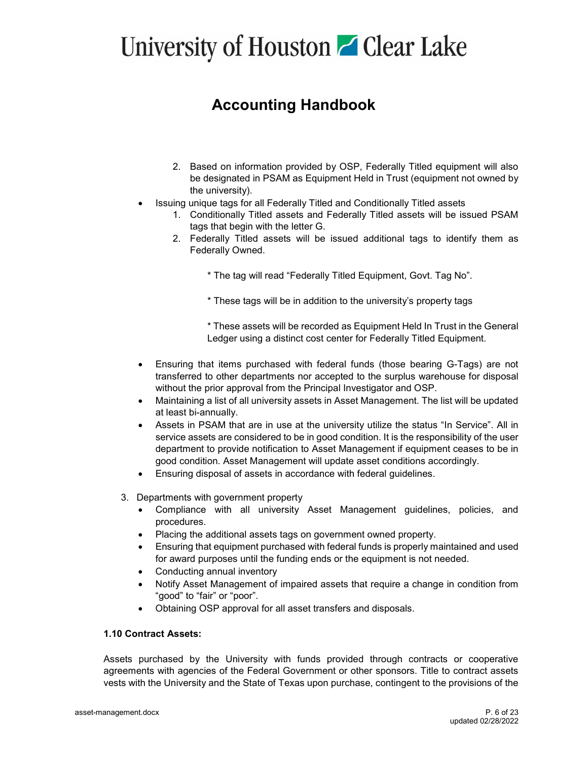# **Accounting Handbook**

- 2. Based on information provided by OSP, Federally Titled equipment will also be designated in PSAM as Equipment Held in Trust (equipment not owned by the university).
- Issuing unique tags for all Federally Titled and Conditionally Titled assets
	- 1. Conditionally Titled assets and Federally Titled assets will be issued PSAM tags that begin with the letter G.
	- 2. Federally Titled assets will be issued additional tags to identify them as Federally Owned.
		- \* The tag will read "Federally Titled Equipment, Govt. Tag No".
		- \* These tags will be in addition to the university's property tags

\* These assets will be recorded as Equipment Held In Trust in the General Ledger using a distinct cost center for Federally Titled Equipment.

- Ensuring that items purchased with federal funds (those bearing G-Tags) are not transferred to other departments nor accepted to the surplus warehouse for disposal without the prior approval from the Principal Investigator and OSP.
- Maintaining a list of all university assets in Asset Management. The list will be updated at least bi-annually.
- Assets in PSAM that are in use at the university utilize the status "In Service". All in service assets are considered to be in good condition. It is the responsibility of the user department to provide notification to Asset Management if equipment ceases to be in good condition. Asset Management will update asset conditions accordingly.
- Ensuring disposal of assets in accordance with federal guidelines.
- 3. Departments with government property
	- Compliance with all university Asset Management guidelines, policies, and procedures.
	- Placing the additional assets tags on government owned property.
	- Ensuring that equipment purchased with federal funds is properly maintained and used for award purposes until the funding ends or the equipment is not needed.
	- Conducting annual inventory
	- Notify Asset Management of impaired assets that require a change in condition from "good" to "fair" or "poor".
	- Obtaining OSP approval for all asset transfers and disposals.

### **1.10 Contract Assets:**

Assets purchased by the University with funds provided through contracts or cooperative agreements with agencies of the Federal Government or other sponsors. Title to contract assets vests with the University and the State of Texas upon purchase, contingent to the provisions of the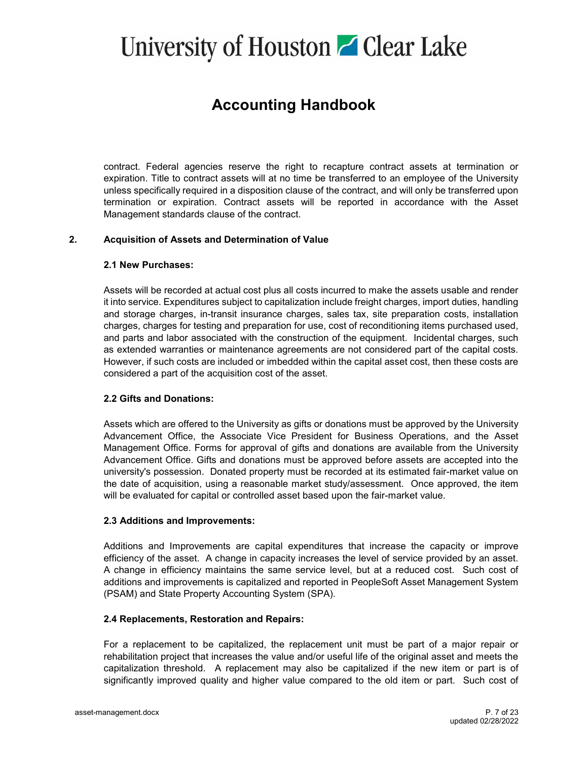# **Accounting Handbook**

contract. Federal agencies reserve the right to recapture contract assets at termination or expiration. Title to contract assets will at no time be transferred to an employee of the University unless specifically required in a disposition clause of the contract, and will only be transferred upon termination or expiration. Contract assets will be reported in accordance with the Asset Management standards clause of the contract.

### **2. Acquisition of Assets and Determination of Value**

#### **2.1 New Purchases:**

Assets will be recorded at actual cost plus all costs incurred to make the assets usable and render it into service. Expenditures subject to capitalization include freight charges, import duties, handling and storage charges, in-transit insurance charges, sales tax, site preparation costs, installation charges, charges for testing and preparation for use, cost of reconditioning items purchased used, and parts and labor associated with the construction of the equipment. Incidental charges, such as extended warranties or maintenance agreements are not considered part of the capital costs. However, if such costs are included or imbedded within the capital asset cost, then these costs are considered a part of the acquisition cost of the asset.

### **2.2 Gifts and Donations:**

Assets which are offered to the University as gifts or donations must be approved by the University Advancement Office, the Associate Vice President for Business Operations, and the Asset Management Office. Forms for approval of gifts and donations are available from the University Advancement Office. Gifts and donations must be approved before assets are accepted into the university's possession. Donated property must be recorded at its estimated fair-market value on the date of acquisition, using a reasonable market study/assessment. Once approved, the item will be evaluated for capital or controlled asset based upon the fair-market value.

#### **2.3 Additions and Improvements:**

Additions and Improvements are capital expenditures that increase the capacity or improve efficiency of the asset. A change in capacity increases the level of service provided by an asset. A change in efficiency maintains the same service level, but at a reduced cost. Such cost of additions and improvements is capitalized and reported in PeopleSoft Asset Management System (PSAM) and State Property Accounting System (SPA).

#### **2.4 Replacements, Restoration and Repairs:**

For a replacement to be capitalized, the replacement unit must be part of a major repair or rehabilitation project that increases the value and/or useful life of the original asset and meets the capitalization threshold. A replacement may also be capitalized if the new item or part is of significantly improved quality and higher value compared to the old item or part. Such cost of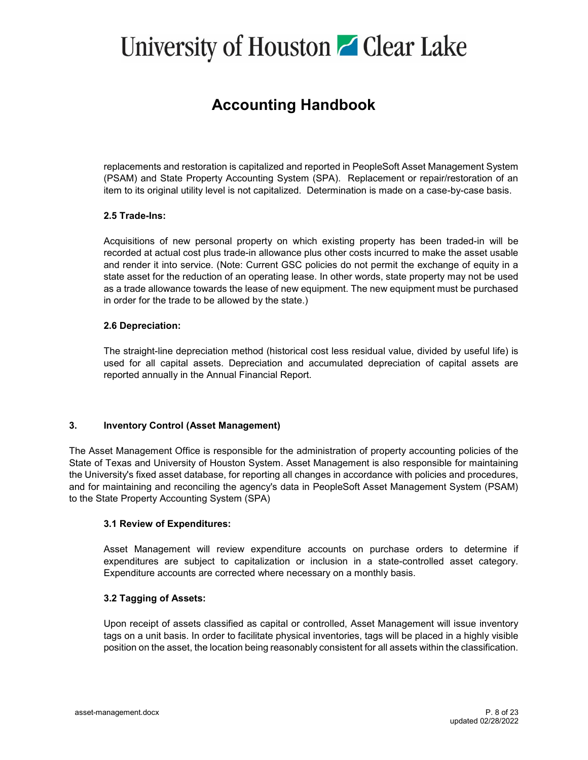# **Accounting Handbook**

replacements and restoration is capitalized and reported in PeopleSoft Asset Management System (PSAM) and State Property Accounting System (SPA). Replacement or repair/restoration of an item to its original utility level is not capitalized. Determination is made on a case-by-case basis.

### **2.5 Trade-Ins:**

Acquisitions of new personal property on which existing property has been traded-in will be recorded at actual cost plus trade-in allowance plus other costs incurred to make the asset usable and render it into service. (Note: Current GSC policies do not permit the exchange of equity in a state asset for the reduction of an operating lease. In other words, state property may not be used as a trade allowance towards the lease of new equipment. The new equipment must be purchased in order for the trade to be allowed by the state.)

### **2.6 Depreciation:**

The straight-line depreciation method (historical cost less residual value, divided by useful life) is used for all capital assets. Depreciation and accumulated depreciation of capital assets are reported annually in the Annual Financial Report.

### **3. Inventory Control (Asset Management)**

The Asset Management Office is responsible for the administration of property accounting policies of the State of Texas and University of Houston System. Asset Management is also responsible for maintaining the University's fixed asset database, for reporting all changes in accordance with policies and procedures, and for maintaining and reconciling the agency's data in PeopleSoft Asset Management System (PSAM) to the State Property Accounting System (SPA)

#### **3.1 Review of Expenditures:**

Asset Management will review expenditure accounts on purchase orders to determine if expenditures are subject to capitalization or inclusion in a state-controlled asset category. Expenditure accounts are corrected where necessary on a monthly basis.

### **3.2 Tagging of Assets:**

Upon receipt of assets classified as capital or controlled, Asset Management will issue inventory tags on a unit basis. In order to facilitate physical inventories, tags will be placed in a highly visible position on the asset, the location being reasonably consistent for all assets within the classification.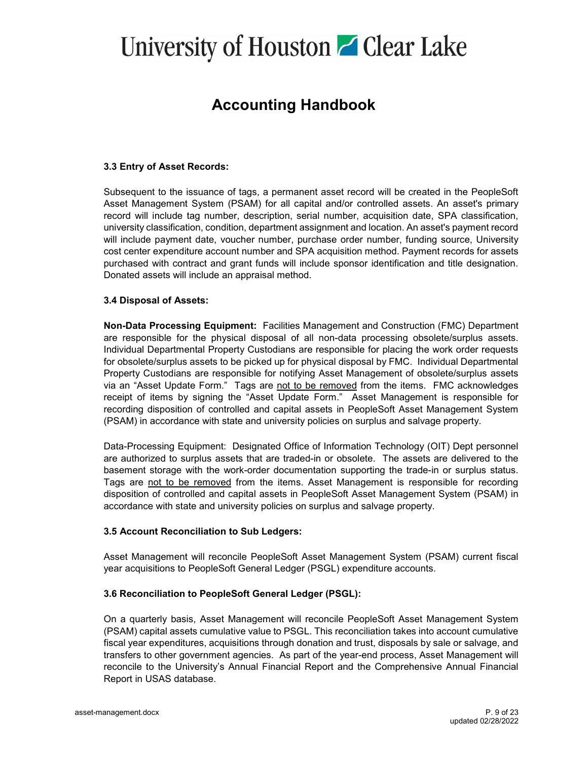## **Accounting Handbook**

### **3.3 Entry of Asset Records:**

Subsequent to the issuance of tags, a permanent asset record will be created in the PeopleSoft Asset Management System (PSAM) for all capital and/or controlled assets. An asset's primary record will include tag number, description, serial number, acquisition date, SPA classification, university classification, condition, department assignment and location. An asset's payment record will include payment date, voucher number, purchase order number, funding source, University cost center expenditure account number and SPA acquisition method. Payment records for assets purchased with contract and grant funds will include sponsor identification and title designation. Donated assets will include an appraisal method.

#### **3.4 Disposal of Assets:**

**Non-Data Processing Equipment:** Facilities Management and Construction (FMC) Department are responsible for the physical disposal of all non-data processing obsolete/surplus assets. Individual Departmental Property Custodians are responsible for placing the work order requests for obsolete/surplus assets to be picked up for physical disposal by FMC. Individual Departmental Property Custodians are responsible for notifying Asset Management of obsolete/surplus assets via an "Asset Update Form." Tags are not to be removed from the items. FMC acknowledges receipt of items by signing the "Asset Update Form." Asset Management is responsible for recording disposition of controlled and capital assets in PeopleSoft Asset Management System (PSAM) in accordance with state and university policies on surplus and salvage property.

Data-Processing Equipment: Designated Office of Information Technology (OIT) Dept personnel are authorized to surplus assets that are traded-in or obsolete. The assets are delivered to the basement storage with the work-order documentation supporting the trade-in or surplus status. Tags are not to be removed from the items. Asset Management is responsible for recording disposition of controlled and capital assets in PeopleSoft Asset Management System (PSAM) in accordance with state and university policies on surplus and salvage property.

#### **3.5 Account Reconciliation to Sub Ledgers:**

Asset Management will reconcile PeopleSoft Asset Management System (PSAM) current fiscal year acquisitions to PeopleSoft General Ledger (PSGL) expenditure accounts.

#### **3.6 Reconciliation to PeopleSoft General Ledger (PSGL):**

On a quarterly basis, Asset Management will reconcile PeopleSoft Asset Management System (PSAM) capital assets cumulative value to PSGL. This reconciliation takes into account cumulative fiscal year expenditures, acquisitions through donation and trust, disposals by sale or salvage, and transfers to other government agencies. As part of the year-end process, Asset Management will reconcile to the University's Annual Financial Report and the Comprehensive Annual Financial Report in USAS database.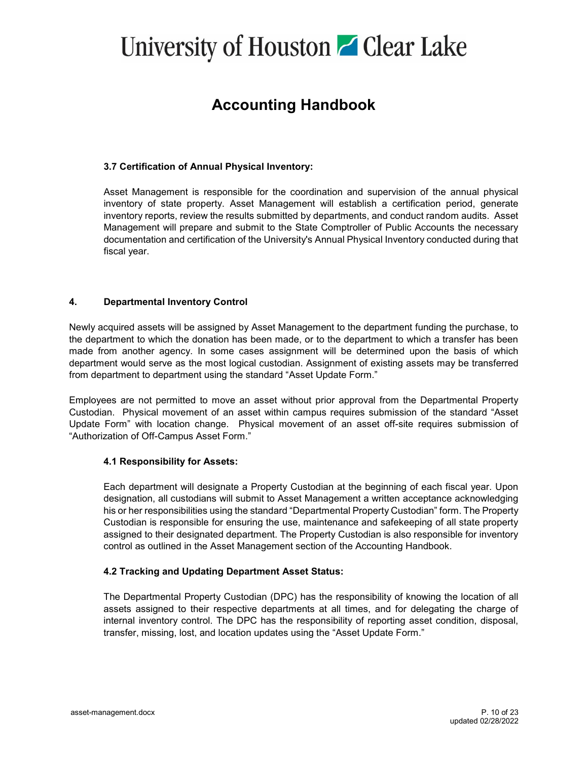## **Accounting Handbook**

## **3.7 Certification of Annual Physical Inventory:**

Asset Management is responsible for the coordination and supervision of the annual physical inventory of state property. Asset Management will establish a certification period, generate inventory reports, review the results submitted by departments, and conduct random audits. Asset Management will prepare and submit to the State Comptroller of Public Accounts the necessary documentation and certification of the University's Annual Physical Inventory conducted during that fiscal year.

### **4. Departmental Inventory Control**

Newly acquired assets will be assigned by Asset Management to the department funding the purchase, to the department to which the donation has been made, or to the department to which a transfer has been made from another agency. In some cases assignment will be determined upon the basis of which department would serve as the most logical custodian. Assignment of existing assets may be transferred from department to department using the standard "Asset Update Form."

Employees are not permitted to move an asset without prior approval from the Departmental Property Custodian. Physical movement of an asset within campus requires submission of the standard "Asset Update Form" with location change. Physical movement of an asset off-site requires submission of "Authorization of Off-Campus Asset Form."

### **4.1 Responsibility for Assets:**

Each department will designate a Property Custodian at the beginning of each fiscal year. Upon designation, all custodians will submit to Asset Management a written acceptance acknowledging his or her responsibilities using the standard "Departmental Property Custodian" form. The Property Custodian is responsible for ensuring the use, maintenance and safekeeping of all state property assigned to their designated department. The Property Custodian is also responsible for inventory control as outlined in the Asset Management section of the Accounting Handbook.

### **4.2 Tracking and Updating Department Asset Status:**

The Departmental Property Custodian (DPC) has the responsibility of knowing the location of all assets assigned to their respective departments at all times, and for delegating the charge of internal inventory control. The DPC has the responsibility of reporting asset condition, disposal, transfer, missing, lost, and location updates using the "Asset Update Form."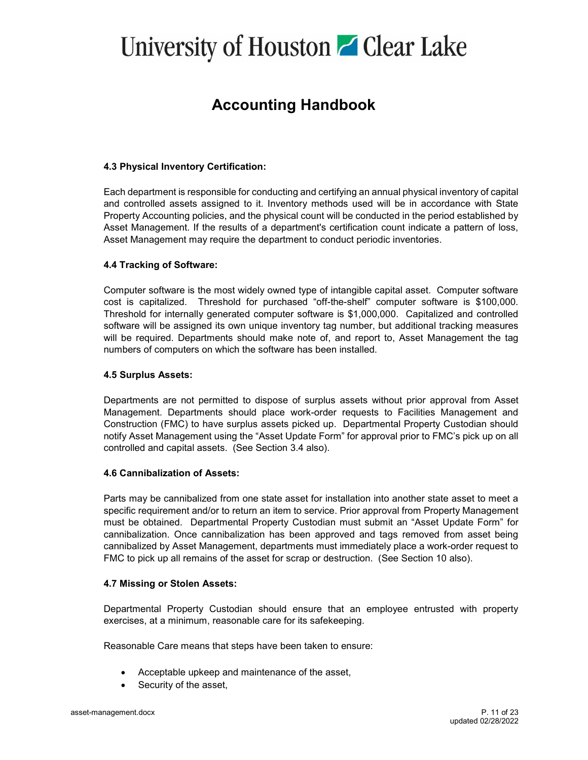## **Accounting Handbook**

### **4.3 Physical Inventory Certification:**

Each department is responsible for conducting and certifying an annual physical inventory of capital and controlled assets assigned to it. Inventory methods used will be in accordance with State Property Accounting policies, and the physical count will be conducted in the period established by Asset Management. If the results of a department's certification count indicate a pattern of loss, Asset Management may require the department to conduct periodic inventories.

### **4.4 Tracking of Software:**

Computer software is the most widely owned type of intangible capital asset. Computer software cost is capitalized. Threshold for purchased "off-the-shelf" computer software is \$100,000. Threshold for internally generated computer software is \$1,000,000. Capitalized and controlled software will be assigned its own unique inventory tag number, but additional tracking measures will be required. Departments should make note of, and report to, Asset Management the tag numbers of computers on which the software has been installed.

#### **4.5 Surplus Assets:**

Departments are not permitted to dispose of surplus assets without prior approval from Asset Management. Departments should place work-order requests to Facilities Management and Construction (FMC) to have surplus assets picked up. Departmental Property Custodian should notify Asset Management using the "Asset Update Form" for approval prior to FMC's pick up on all controlled and capital assets. (See Section 3.4 also).

#### **4.6 Cannibalization of Assets:**

Parts may be cannibalized from one state asset for installation into another state asset to meet a specific requirement and/or to return an item to service. Prior approval from Property Management must be obtained. Departmental Property Custodian must submit an "Asset Update Form" for cannibalization. Once cannibalization has been approved and tags removed from asset being cannibalized by Asset Management, departments must immediately place a work-order request to FMC to pick up all remains of the asset for scrap or destruction. (See Section 10 also).

#### **4.7 Missing or Stolen Assets:**

Departmental Property Custodian should ensure that an employee entrusted with property exercises, at a minimum, reasonable care for its safekeeping.

Reasonable Care means that steps have been taken to ensure:

- Acceptable upkeep and maintenance of the asset,
- Security of the asset,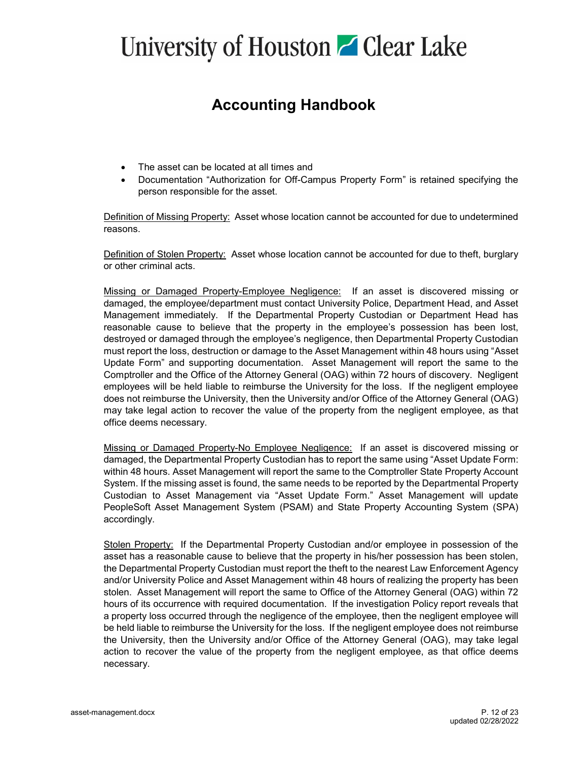# **Accounting Handbook**

- The asset can be located at all times and
- Documentation "Authorization for Off-Campus Property Form" is retained specifying the person responsible for the asset.

Definition of Missing Property: Asset whose location cannot be accounted for due to undetermined reasons.

Definition of Stolen Property: Asset whose location cannot be accounted for due to theft, burglary or other criminal acts.

Missing or Damaged Property-Employee Negligence: If an asset is discovered missing or damaged, the employee/department must contact University Police, Department Head, and Asset Management immediately. If the Departmental Property Custodian or Department Head has reasonable cause to believe that the property in the employee's possession has been lost, destroyed or damaged through the employee's negligence, then Departmental Property Custodian must report the loss, destruction or damage to the Asset Management within 48 hours using "Asset Update Form" and supporting documentation. Asset Management will report the same to the Comptroller and the Office of the Attorney General (OAG) within 72 hours of discovery. Negligent employees will be held liable to reimburse the University for the loss. If the negligent employee does not reimburse the University, then the University and/or Office of the Attorney General (OAG) may take legal action to recover the value of the property from the negligent employee, as that office deems necessary.

Missing or Damaged Property-No Employee Negligence: If an asset is discovered missing or damaged, the Departmental Property Custodian has to report the same using "Asset Update Form: within 48 hours. Asset Management will report the same to the Comptroller State Property Account System. If the missing asset is found, the same needs to be reported by the Departmental Property Custodian to Asset Management via "Asset Update Form." Asset Management will update PeopleSoft Asset Management System (PSAM) and State Property Accounting System (SPA) accordingly.

Stolen Property: If the Departmental Property Custodian and/or employee in possession of the asset has a reasonable cause to believe that the property in his/her possession has been stolen, the Departmental Property Custodian must report the theft to the nearest Law Enforcement Agency and/or University Police and Asset Management within 48 hours of realizing the property has been stolen. Asset Management will report the same to Office of the Attorney General (OAG) within 72 hours of its occurrence with required documentation. If the investigation Policy report reveals that a property loss occurred through the negligence of the employee, then the negligent employee will be held liable to reimburse the University for the loss. If the negligent employee does not reimburse the University, then the University and/or Office of the Attorney General (OAG), may take legal action to recover the value of the property from the negligent employee, as that office deems necessary.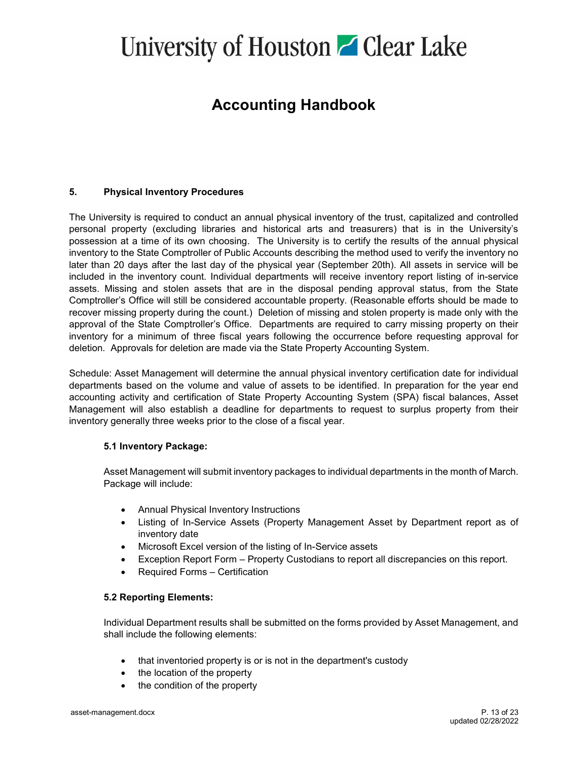# **Accounting Handbook**

### **5. Physical Inventory Procedures**

The University is required to conduct an annual physical inventory of the trust, capitalized and controlled personal property (excluding libraries and historical arts and treasurers) that is in the University's possession at a time of its own choosing. The University is to certify the results of the annual physical inventory to the State Comptroller of Public Accounts describing the method used to verify the inventory no later than 20 days after the last day of the physical year (September 20th). All assets in service will be included in the inventory count. Individual departments will receive inventory report listing of in-service assets. Missing and stolen assets that are in the disposal pending approval status, from the State Comptroller's Office will still be considered accountable property. (Reasonable efforts should be made to recover missing property during the count.) Deletion of missing and stolen property is made only with the approval of the State Comptroller's Office. Departments are required to carry missing property on their inventory for a minimum of three fiscal years following the occurrence before requesting approval for deletion. Approvals for deletion are made via the State Property Accounting System.

Schedule: Asset Management will determine the annual physical inventory certification date for individual departments based on the volume and value of assets to be identified. In preparation for the year end accounting activity and certification of State Property Accounting System (SPA) fiscal balances, Asset Management will also establish a deadline for departments to request to surplus property from their inventory generally three weeks prior to the close of a fiscal year.

#### **5.1 Inventory Package:**

Asset Management will submit inventory packages to individual departments in the month of March. Package will include:

- Annual Physical Inventory Instructions
- Listing of In-Service Assets (Property Management Asset by Department report as of inventory date
- Microsoft Excel version of the listing of In-Service assets
- Exception Report Form Property Custodians to report all discrepancies on this report.
- Required Forms Certification

#### **5.2 Reporting Elements:**

Individual Department results shall be submitted on the forms provided by Asset Management, and shall include the following elements:

- that inventoried property is or is not in the department's custody
- the location of the property
- the condition of the property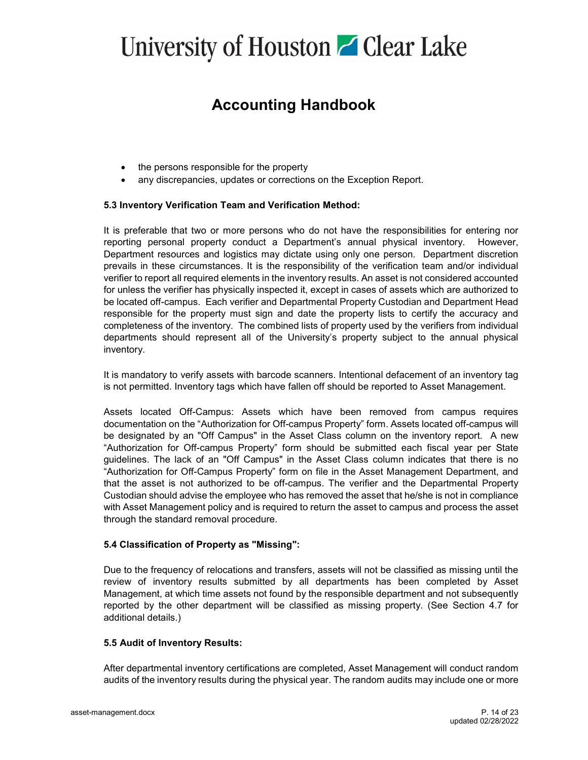# **Accounting Handbook**

- the persons responsible for the property
- any discrepancies, updates or corrections on the Exception Report.

## **5.3 Inventory Verification Team and Verification Method:**

It is preferable that two or more persons who do not have the responsibilities for entering nor reporting personal property conduct a Department's annual physical inventory. However, Department resources and logistics may dictate using only one person. Department discretion prevails in these circumstances. It is the responsibility of the verification team and/or individual verifier to report all required elements in the inventory results. An asset is not considered accounted for unless the verifier has physically inspected it, except in cases of assets which are authorized to be located off-campus. Each verifier and Departmental Property Custodian and Department Head responsible for the property must sign and date the property lists to certify the accuracy and completeness of the inventory. The combined lists of property used by the verifiers from individual departments should represent all of the University's property subject to the annual physical inventory.

It is mandatory to verify assets with barcode scanners. Intentional defacement of an inventory tag is not permitted. Inventory tags which have fallen off should be reported to Asset Management.

Assets located Off-Campus: Assets which have been removed from campus requires documentation on the "Authorization for Off-campus Property" form. Assets located off-campus will be designated by an "Off Campus" in the Asset Class column on the inventory report. A new "Authorization for Off-campus Property" form should be submitted each fiscal year per State guidelines. The lack of an "Off Campus" in the Asset Class column indicates that there is no "Authorization for Off-Campus Property" form on file in the Asset Management Department, and that the asset is not authorized to be off-campus. The verifier and the Departmental Property Custodian should advise the employee who has removed the asset that he/she is not in compliance with Asset Management policy and is required to return the asset to campus and process the asset through the standard removal procedure.

### **5.4 Classification of Property as "Missing":**

Due to the frequency of relocations and transfers, assets will not be classified as missing until the review of inventory results submitted by all departments has been completed by Asset Management, at which time assets not found by the responsible department and not subsequently reported by the other department will be classified as missing property. (See Section 4.7 for additional details.)

### **5.5 Audit of Inventory Results:**

After departmental inventory certifications are completed, Asset Management will conduct random audits of the inventory results during the physical year. The random audits may include one or more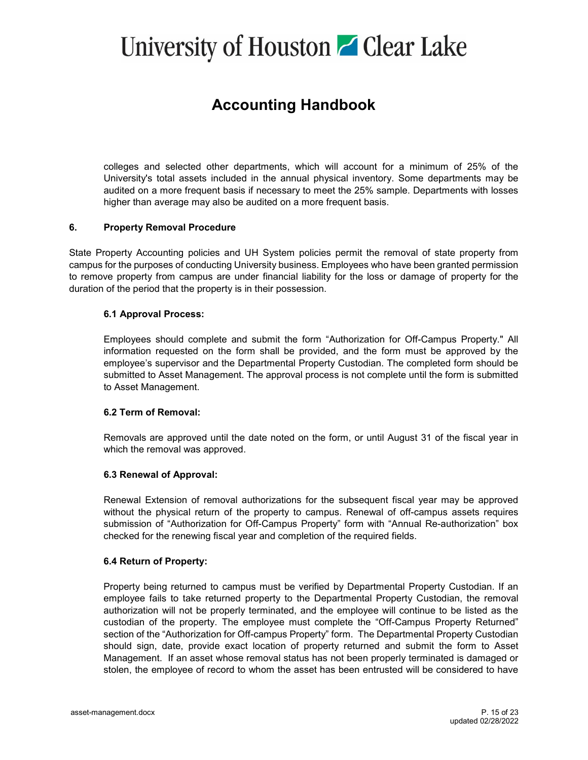# **Accounting Handbook**

colleges and selected other departments, which will account for a minimum of 25% of the University's total assets included in the annual physical inventory. Some departments may be audited on a more frequent basis if necessary to meet the 25% sample. Departments with losses higher than average may also be audited on a more frequent basis.

### **6. Property Removal Procedure**

State Property Accounting policies and UH System policies permit the removal of state property from campus for the purposes of conducting University business. Employees who have been granted permission to remove property from campus are under financial liability for the loss or damage of property for the duration of the period that the property is in their possession.

### **6.1 Approval Process:**

Employees should complete and submit the form "Authorization for Off-Campus Property." All information requested on the form shall be provided, and the form must be approved by the employee's supervisor and the Departmental Property Custodian. The completed form should be submitted to Asset Management. The approval process is not complete until the form is submitted to Asset Management.

### **6.2 Term of Removal:**

Removals are approved until the date noted on the form, or until August 31 of the fiscal year in which the removal was approved.

#### **6.3 Renewal of Approval:**

Renewal Extension of removal authorizations for the subsequent fiscal year may be approved without the physical return of the property to campus. Renewal of off-campus assets requires submission of "Authorization for Off-Campus Property" form with "Annual Re-authorization" box checked for the renewing fiscal year and completion of the required fields.

#### **6.4 Return of Property:**

Property being returned to campus must be verified by Departmental Property Custodian. If an employee fails to take returned property to the Departmental Property Custodian, the removal authorization will not be properly terminated, and the employee will continue to be listed as the custodian of the property. The employee must complete the "Off-Campus Property Returned" section of the "Authorization for Off-campus Property" form. The Departmental Property Custodian should sign, date, provide exact location of property returned and submit the form to Asset Management. If an asset whose removal status has not been properly terminated is damaged or stolen, the employee of record to whom the asset has been entrusted will be considered to have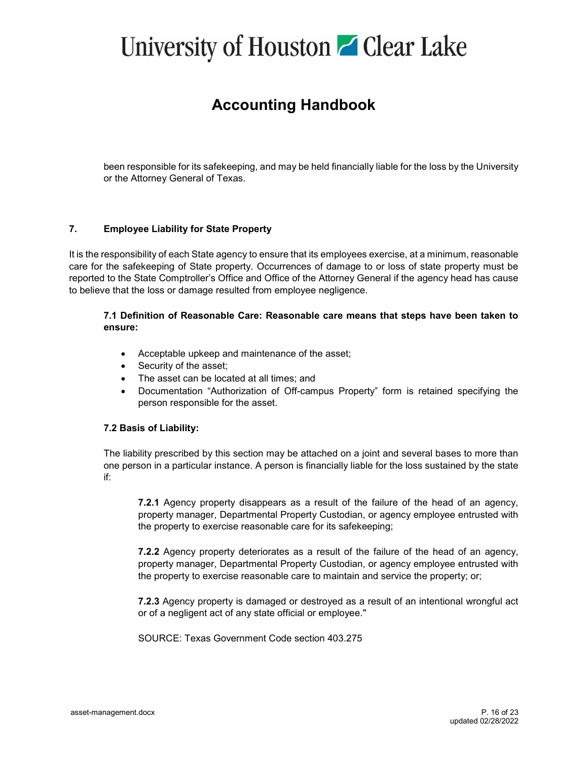# **Accounting Handbook**

been responsible for its safekeeping, and may be held financially liable for the loss by the University or the Attorney General of Texas.

### **7. Employee Liability for State Property**

It is the responsibility of each State agency to ensure that its employees exercise, at a minimum, reasonable care for the safekeeping of State property. Occurrences of damage to or loss of state property must be reported to the State Comptroller's Office and Office of the Attorney General if the agency head has cause to believe that the loss or damage resulted from employee negligence.

### **7.1 Definition of Reasonable Care: Reasonable care means that steps have been taken to ensure:**

- Acceptable upkeep and maintenance of the asset;
- Security of the asset;
- The asset can be located at all times; and
- Documentation "Authorization of Off-campus Property" form is retained specifying the person responsible for the asset.

#### **7.2 Basis of Liability:**

The liability prescribed by this section may be attached on a joint and several bases to more than one person in a particular instance. A person is financially liable for the loss sustained by the state if:

**7.2.1** Agency property disappears as a result of the failure of the head of an agency, property manager, Departmental Property Custodian, or agency employee entrusted with the property to exercise reasonable care for its safekeeping;

**7.2.2** Agency property deteriorates as a result of the failure of the head of an agency, property manager, Departmental Property Custodian, or agency employee entrusted with the property to exercise reasonable care to maintain and service the property; or;

**7.2.3** Agency property is damaged or destroyed as a result of an intentional wrongful act or of a negligent act of any state official or employee."

SOURCE: Texas Government Code section 403.275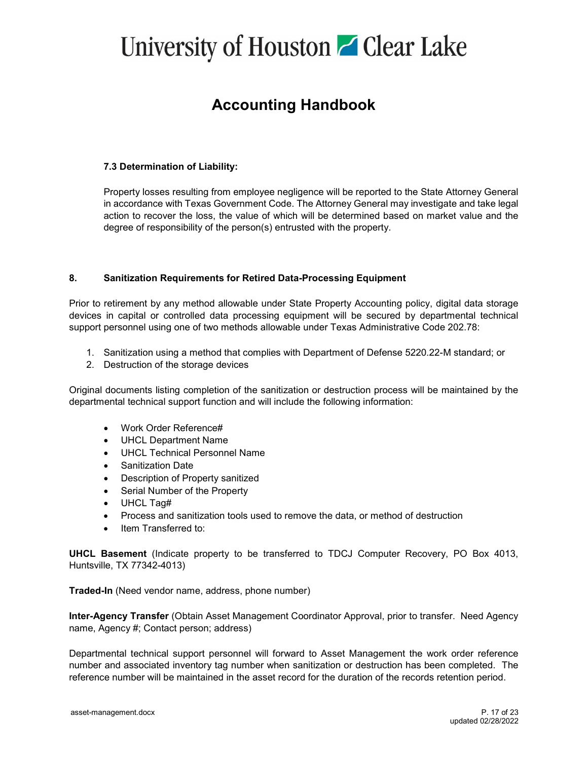# **Accounting Handbook**

## **7.3 Determination of Liability:**

Property losses resulting from employee negligence will be reported to the State Attorney General in accordance with Texas Government Code. The Attorney General may investigate and take legal action to recover the loss, the value of which will be determined based on market value and the degree of responsibility of the person(s) entrusted with the property.

### **8. Sanitization Requirements for Retired Data-Processing Equipment**

Prior to retirement by any method allowable under State Property Accounting policy, digital data storage devices in capital or controlled data processing equipment will be secured by departmental technical support personnel using one of two methods allowable under Texas Administrative Code 202.78:

- 1. Sanitization using a method that complies with Department of Defense 5220.22-M standard; or
- 2. Destruction of the storage devices

Original documents listing completion of the sanitization or destruction process will be maintained by the departmental technical support function and will include the following information:

- Work Order Reference#
- UHCL Department Name
- UHCL Technical Personnel Name
- Sanitization Date
- Description of Property sanitized
- Serial Number of the Property
- UHCL Tag#
- Process and sanitization tools used to remove the data, or method of destruction
- Item Transferred to:

**UHCL Basement** (Indicate property to be transferred to TDCJ Computer Recovery, PO Box 4013, Huntsville, TX 77342-4013)

**Traded-In** (Need vendor name, address, phone number)

**Inter-Agency Transfer** (Obtain Asset Management Coordinator Approval, prior to transfer. Need Agency name, Agency #; Contact person; address)

Departmental technical support personnel will forward to Asset Management the work order reference number and associated inventory tag number when sanitization or destruction has been completed. The reference number will be maintained in the asset record for the duration of the records retention period.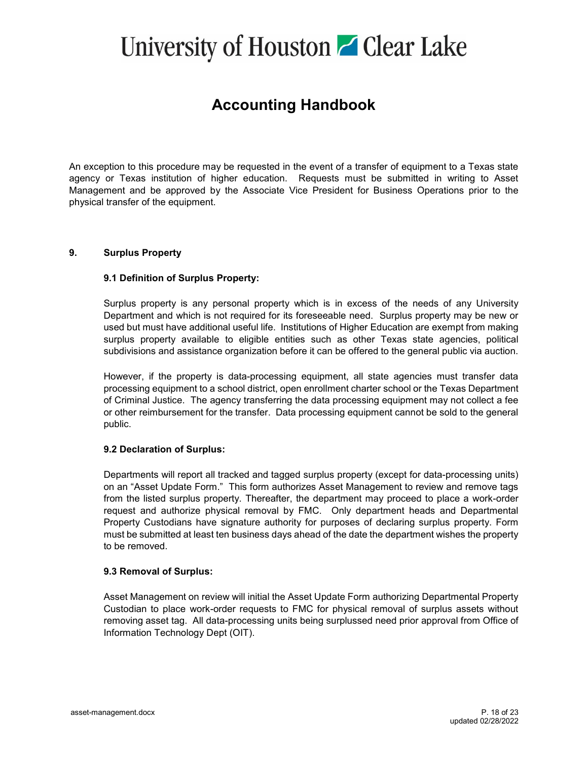# **Accounting Handbook**

An exception to this procedure may be requested in the event of a transfer of equipment to a Texas state agency or Texas institution of higher education. Requests must be submitted in writing to Asset Management and be approved by the Associate Vice President for Business Operations prior to the physical transfer of the equipment.

### **9. Surplus Property**

### **9.1 Definition of Surplus Property:**

Surplus property is any personal property which is in excess of the needs of any University Department and which is not required for its foreseeable need. Surplus property may be new or used but must have additional useful life. Institutions of Higher Education are exempt from making surplus property available to eligible entities such as other Texas state agencies, political subdivisions and assistance organization before it can be offered to the general public via auction.

However, if the property is data-processing equipment, all state agencies must transfer data processing equipment to a school district, open enrollment charter school or the Texas Department of Criminal Justice. The agency transferring the data processing equipment may not collect a fee or other reimbursement for the transfer. Data processing equipment cannot be sold to the general public.

#### **9.2 Declaration of Surplus:**

Departments will report all tracked and tagged surplus property (except for data-processing units) on an "Asset Update Form." This form authorizes Asset Management to review and remove tags from the listed surplus property. Thereafter, the department may proceed to place a work-order request and authorize physical removal by FMC. Only department heads and Departmental Property Custodians have signature authority for purposes of declaring surplus property. Form must be submitted at least ten business days ahead of the date the department wishes the property to be removed.

#### **9.3 Removal of Surplus:**

Asset Management on review will initial the Asset Update Form authorizing Departmental Property Custodian to place work-order requests to FMC for physical removal of surplus assets without removing asset tag. All data-processing units being surplussed need prior approval from Office of Information Technology Dept (OIT).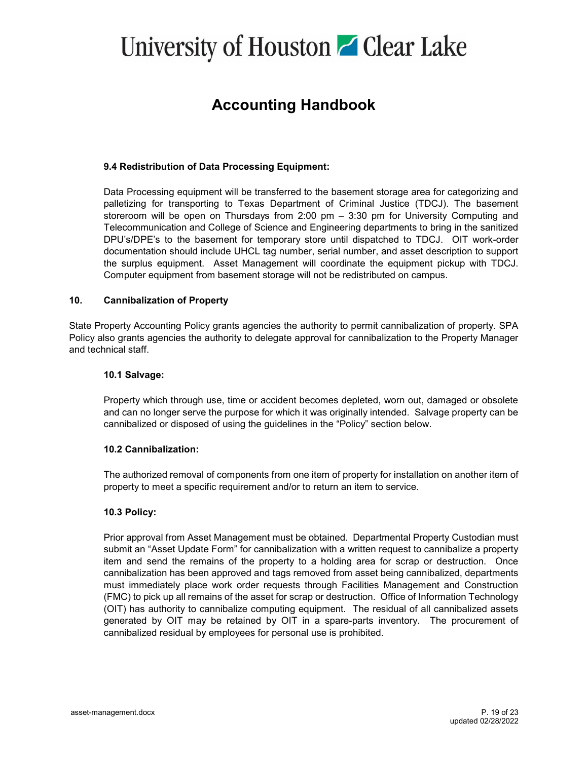## **Accounting Handbook**

## **9.4 Redistribution of Data Processing Equipment:**

Data Processing equipment will be transferred to the basement storage area for categorizing and palletizing for transporting to Texas Department of Criminal Justice (TDCJ). The basement storeroom will be open on Thursdays from 2:00 pm – 3:30 pm for University Computing and Telecommunication and College of Science and Engineering departments to bring in the sanitized DPU's/DPE's to the basement for temporary store until dispatched to TDCJ. OIT work-order documentation should include UHCL tag number, serial number, and asset description to support the surplus equipment. Asset Management will coordinate the equipment pickup with TDCJ. Computer equipment from basement storage will not be redistributed on campus.

### **10. Cannibalization of Property**

State Property Accounting Policy grants agencies the authority to permit cannibalization of property. SPA Policy also grants agencies the authority to delegate approval for cannibalization to the Property Manager and technical staff.

### **10.1 Salvage:**

Property which through use, time or accident becomes depleted, worn out, damaged or obsolete and can no longer serve the purpose for which it was originally intended. Salvage property can be cannibalized or disposed of using the guidelines in the "Policy" section below.

#### **10.2 Cannibalization:**

The authorized removal of components from one item of property for installation on another item of property to meet a specific requirement and/or to return an item to service.

### **10.3 Policy:**

Prior approval from Asset Management must be obtained. Departmental Property Custodian must submit an "Asset Update Form" for cannibalization with a written request to cannibalize a property item and send the remains of the property to a holding area for scrap or destruction. Once cannibalization has been approved and tags removed from asset being cannibalized, departments must immediately place work order requests through Facilities Management and Construction (FMC) to pick up all remains of the asset for scrap or destruction. Office of Information Technology (OIT) has authority to cannibalize computing equipment. The residual of all cannibalized assets generated by OIT may be retained by OIT in a spare-parts inventory. The procurement of cannibalized residual by employees for personal use is prohibited.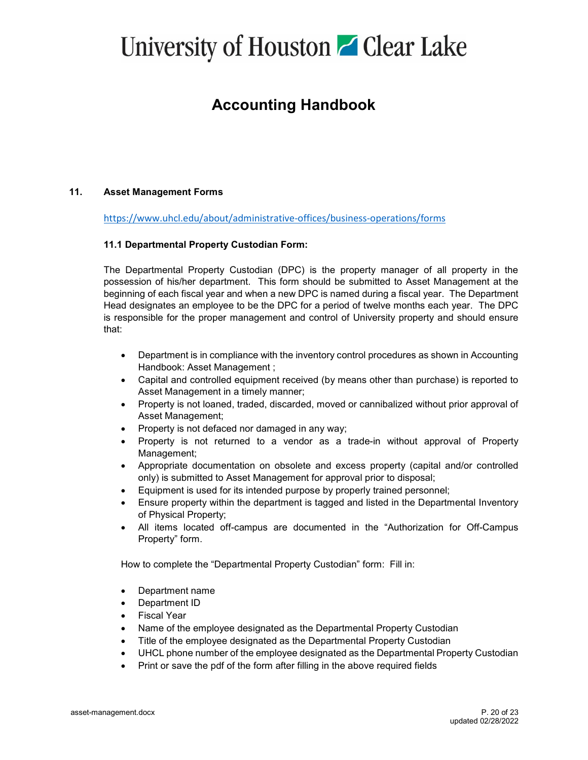# **Accounting Handbook**

### **11. Asset Management Forms**

[https://www.uhcl.edu/about/administrative-offices/business-operations/forms](https://public.uhcl.edu/about/administrative-offices/business-operations/forms)

### **11.1 Departmental Property Custodian Form:**

The Departmental Property Custodian (DPC) is the property manager of all property in the possession of his/her department. This form should be submitted to Asset Management at the beginning of each fiscal year and when a new DPC is named during a fiscal year. The Department Head designates an employee to be the DPC for a period of twelve months each year. The DPC is responsible for the proper management and control of University property and should ensure that:

- Department is in compliance with the inventory control procedures as shown in Accounting Handbook: Asset Management ;
- Capital and controlled equipment received (by means other than purchase) is reported to Asset Management in a timely manner;
- Property is not loaned, traded, discarded, moved or cannibalized without prior approval of Asset Management;
- Property is not defaced nor damaged in any way;
- Property is not returned to a vendor as a trade-in without approval of Property Management;
- Appropriate documentation on obsolete and excess property (capital and/or controlled only) is submitted to Asset Management for approval prior to disposal;
- Equipment is used for its intended purpose by properly trained personnel;
- Ensure property within the department is tagged and listed in the Departmental Inventory of Physical Property;
- All items located off-campus are documented in the "Authorization for Off-Campus Property" form.

How to complete the "Departmental Property Custodian" form: Fill in:

- Department name
- Department ID
- Fiscal Year
- Name of the employee designated as the Departmental Property Custodian
- Title of the employee designated as the Departmental Property Custodian
- UHCL phone number of the employee designated as the Departmental Property Custodian
- Print or save the pdf of the form after filling in the above required fields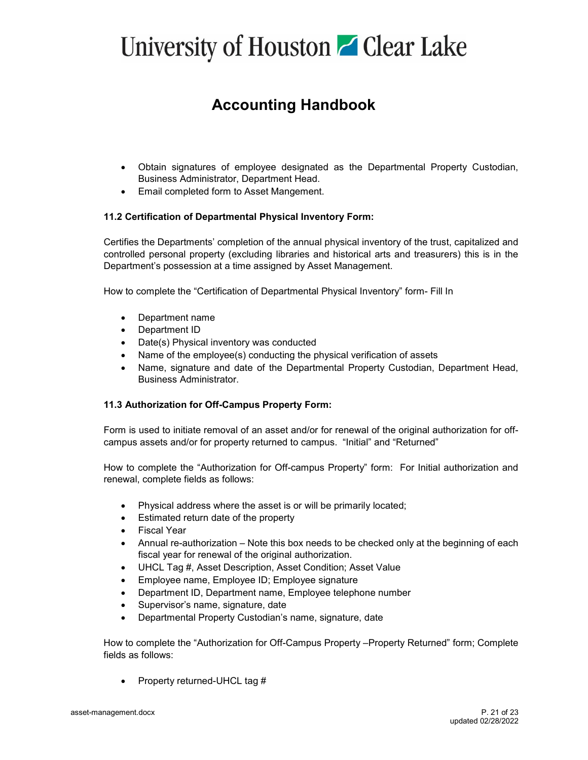# **Accounting Handbook**

- Obtain signatures of employee designated as the Departmental Property Custodian, Business Administrator, Department Head.
- Email completed form to Asset Mangement.

## **11.2 Certification of Departmental Physical Inventory Form:**

Certifies the Departments' completion of the annual physical inventory of the trust, capitalized and controlled personal property (excluding libraries and historical arts and treasurers) this is in the Department's possession at a time assigned by Asset Management.

How to complete the "Certification of Departmental Physical Inventory" form- Fill In

- Department name
- Department ID
- Date(s) Physical inventory was conducted
- Name of the employee(s) conducting the physical verification of assets
- Name, signature and date of the Departmental Property Custodian, Department Head, Business Administrator.

### **11.3 Authorization for Off-Campus Property Form:**

Form is used to initiate removal of an asset and/or for renewal of the original authorization for offcampus assets and/or for property returned to campus. "Initial" and "Returned"

How to complete the "Authorization for Off-campus Property" form: For Initial authorization and renewal, complete fields as follows:

- Physical address where the asset is or will be primarily located;
- Estimated return date of the property
- Fiscal Year
- Annual re-authorization Note this box needs to be checked only at the beginning of each fiscal year for renewal of the original authorization.
- UHCL Tag #, Asset Description, Asset Condition; Asset Value
- Employee name, Employee ID; Employee signature
- Department ID, Department name, Employee telephone number
- Supervisor's name, signature, date
- Departmental Property Custodian's name, signature, date

How to complete the "Authorization for Off-Campus Property –Property Returned" form; Complete fields as follows:

• Property returned-UHCL tag #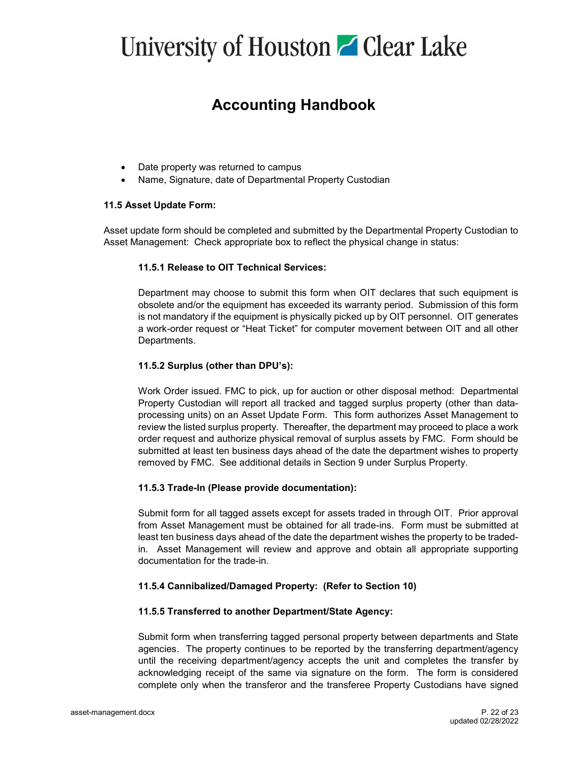# **Accounting Handbook**

- Date property was returned to campus
- Name, Signature, date of Departmental Property Custodian

## **11.5 Asset Update Form:**

Asset update form should be completed and submitted by the Departmental Property Custodian to Asset Management: Check appropriate box to reflect the physical change in status:

## **11.5.1 Release to OIT Technical Services:**

Department may choose to submit this form when OIT declares that such equipment is obsolete and/or the equipment has exceeded its warranty period. Submission of this form is not mandatory if the equipment is physically picked up by OIT personnel. OIT generates a work-order request or "Heat Ticket" for computer movement between OIT and all other Departments.

## **11.5.2 Surplus (other than DPU's):**

Work Order issued. FMC to pick, up for auction or other disposal method: Departmental Property Custodian will report all tracked and tagged surplus property (other than dataprocessing units) on an Asset Update Form. This form authorizes Asset Management to review the listed surplus property. Thereafter, the department may proceed to place a work order request and authorize physical removal of surplus assets by FMC. Form should be submitted at least ten business days ahead of the date the department wishes to property removed by FMC. See additional details in Section 9 under Surplus Property.

### **11.5.3 Trade-In (Please provide documentation):**

Submit form for all tagged assets except for assets traded in through OIT. Prior approval from Asset Management must be obtained for all trade-ins. Form must be submitted at least ten business days ahead of the date the department wishes the property to be tradedin. Asset Management will review and approve and obtain all appropriate supporting documentation for the trade-in.

## **11.5.4 Cannibalized/Damaged Property: (Refer to Section 10)**

### **11.5.5 Transferred to another Department/State Agency:**

Submit form when transferring tagged personal property between departments and State agencies. The property continues to be reported by the transferring department/agency until the receiving department/agency accepts the unit and completes the transfer by acknowledging receipt of the same via signature on the form. The form is considered complete only when the transferor and the transferee Property Custodians have signed